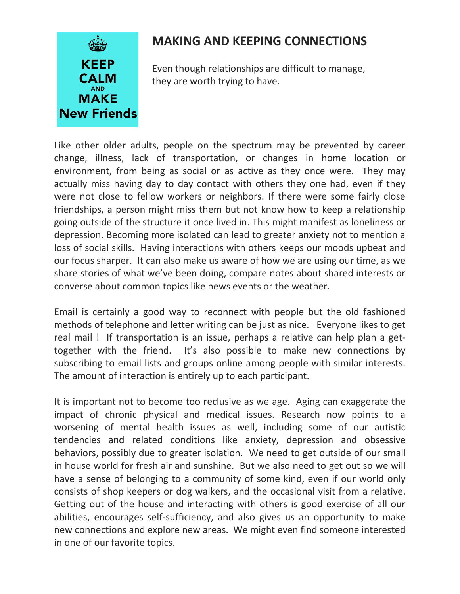

## **MAKING AND KEEPING CONNECTIONS**

 Even though relationships are difficult to manage, they are worth trying to have.

Like other older adults, people on the spectrum may be prevented by career change, illness, lack of transportation, or changes in home location or environment, from being as social or as active as they once were. They may actually miss having day to day contact with others they one had, even if they were not close to fellow workers or neighbors. If there were some fairly close friendships, a person might miss them but not know how to keep a relationship going outside of the structure it once lived in. This might manifest as loneliness or depression. Becoming more isolated can lead to greater anxiety not to mention a loss of social skills. Having interactions with others keeps our moods upbeat and our focus sharper. It can also make us aware of how we are using our time, as we share stories of what we've been doing, compare notes about shared interests or converse about common topics like news events or the weather.

Email is certainly a good way to reconnect with people but the old fashioned methods of telephone and letter writing can be just as nice. Everyone likes to get real mail ! If transportation is an issue, perhaps a relative can help plan a gettogether with the friend. It's also possible to make new connections by subscribing to email lists and groups online among people with similar interests. The amount of interaction is entirely up to each participant.

It is important not to become too reclusive as we age. Aging can exaggerate the impact of chronic physical and medical issues. Research now points to a worsening of mental health issues as well, including some of our autistic tendencies and related conditions like anxiety, depression and obsessive behaviors, possibly due to greater isolation. We need to get outside of our small in house world for fresh air and sunshine. But we also need to get out so we will have a sense of belonging to a community of some kind, even if our world only consists of shop keepers or dog walkers, and the occasional visit from a relative. Getting out of the house and interacting with others is good exercise of all our abilities, encourages self-sufficiency, and also gives us an opportunity to make new connections and explore new areas. We might even find someone interested in one of our favorite topics.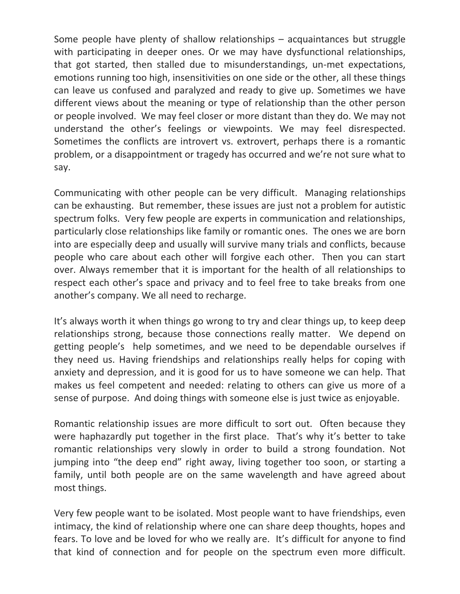Some people have plenty of shallow relationships – acquaintances but struggle with participating in deeper ones. Or we may have dysfunctional relationships, that got started, then stalled due to misunderstandings, un-met expectations, emotions running too high, insensitivities on one side or the other, all these things can leave us confused and paralyzed and ready to give up. Sometimes we have different views about the meaning or type of relationship than the other person or people involved. We may feel closer or more distant than they do. We may not understand the other's feelings or viewpoints. We may feel disrespected. Sometimes the conflicts are introvert vs. extrovert, perhaps there is a romantic problem, or a disappointment or tragedy has occurred and we're not sure what to say.

Communicating with other people can be very difficult. Managing relationships can be exhausting. But remember, these issues are just not a problem for autistic spectrum folks. Very few people are experts in communication and relationships, particularly close relationships like family or romantic ones. The ones we are born into are especially deep and usually will survive many trials and conflicts, because people who care about each other will forgive each other. Then you can start over. Always remember that it is important for the health of all relationships to respect each other's space and privacy and to feel free to take breaks from one another's company. We all need to recharge.

It's always worth it when things go wrong to try and clear things up, to keep deep relationships strong, because those connections really matter. We depend on getting people's help sometimes, and we need to be dependable ourselves if they need us. Having friendships and relationships really helps for coping with anxiety and depression, and it is good for us to have someone we can help. That makes us feel competent and needed: relating to others can give us more of a sense of purpose. And doing things with someone else is just twice as enjoyable.

Romantic relationship issues are more difficult to sort out. Often because they were haphazardly put together in the first place. That's why it's better to take romantic relationships very slowly in order to build a strong foundation. Not jumping into "the deep end" right away, living together too soon, or starting a family, until both people are on the same wavelength and have agreed about most things.

Very few people want to be isolated. Most people want to have friendships, even intimacy, the kind of relationship where one can share deep thoughts, hopes and fears. To love and be loved for who we really are. It's difficult for anyone to find that kind of connection and for people on the spectrum even more difficult.